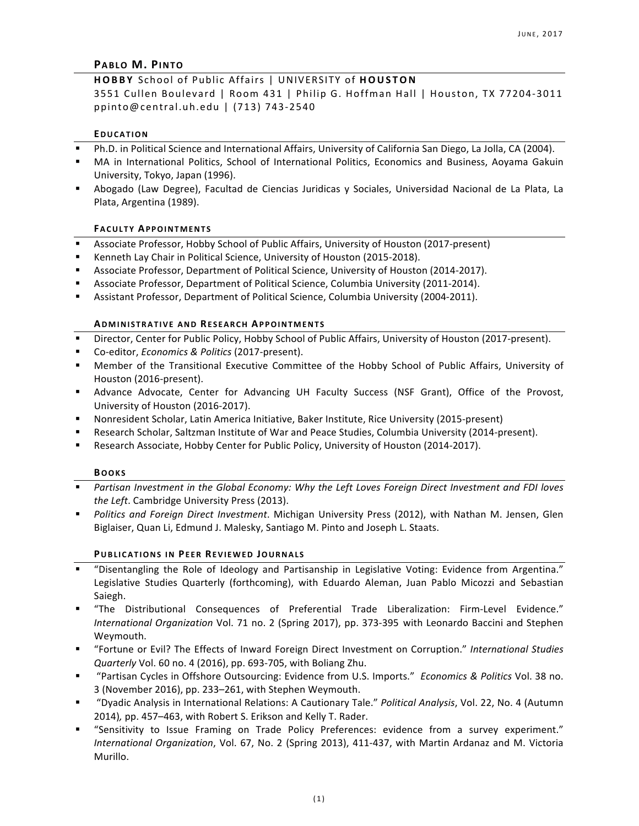## **PABLO M. PINTO**

# **HOBBY**  School of Public Affairs | UNIVERSITY of **HOUSTON**

3551 Cullen Boulevard | Room 431 | Philip G. Hoffman Hall | Houston, TX 77204-3011 ppinto@central.uh.edu | (713) 743-2540

### **EDUCATION**

- Ph.D. in Political Science and International Affairs, University of California San Diego, La Jolla, CA (2004).
- MA in International Politics, School of International Politics, Economics and Business, Aoyama Gakuin University, Tokyo, Japan (1996).
- Abogado (Law Degree), Facultad de Ciencias Juridicas y Sociales, Universidad Nacional de La Plata, La Plata, Argentina (1989).

#### **FACULTY APPOINTMENTS**

- Associate Professor, Hobby School of Public Affairs, University of Houston (2017-present)
- Kenneth Lay Chair in Political Science, University of Houston (2015-2018).
- Associate Professor, Department of Political Science, University of Houston (2014-2017).
- Associate Professor, Department of Political Science, Columbia University (2011-2014).
- **Assistant Professor, Department of Political Science, Columbia University (2004-2011).**

#### **ADMINISTRATIVE AND RESEARCH APPOINTMENTS**

- Director, Center for Public Policy, Hobby School of Public Affairs, University of Houston (2017-present).
- § Co-editor, *Economics & Politics* (2017-present).
- Member of the Transitional Executive Committee of the Hobby School of Public Affairs, University of Houston (2016-present).
- **E** Advance Advocate, Center for Advancing UH Faculty Success (NSF Grant), Office of the Provost, University of Houston (2016-2017).
- Nonresident Scholar, Latin America Initiative, Baker Institute, Rice University (2015-present)
- Research Scholar, Saltzman Institute of War and Peace Studies, Columbia University (2014-present).
- Research Associate, Hobby Center for Public Policy, University of Houston (2014-2017).

#### **BOOKS**

- **•** Partisan Investment in the Global Economy: Why the Left Loves Foreign Direct Investment and FDI loves the Left. Cambridge University Press (2013).
- **•** Politics and Foreign Direct Investment. Michigan University Press (2012), with Nathan M. Jensen, Glen Biglaiser, Quan Li, Edmund J. Malesky, Santiago M. Pinto and Joseph L. Staats.

### **PUBLICATIONS IN PEER REVIEWED JOURNALS**

- § "Disentangling the Role of Ideology and Partisanship in Legislative Voting: Evidence from Argentina." Legislative Studies Quarterly (forthcoming), with Eduardo Aleman, Juan Pablo Micozzi and Sebastian Saiegh.
- § "The Distributional Consequences of Preferential Trade Liberalization: Firm-Level Evidence." *International Organization Vol. 71 no. 2 (Spring 2017), pp. 373-395 with Leonardo Baccini and Stephen* Weymouth.
- "Fortune or Evil? The Effects of Inward Foreign Direct Investment on Corruption." *International Studies Quarterly* Vol. 60 no. 4 (2016), pp. 693-705, with Boliang Zhu.
- § "Partisan Cycles in Offshore Outsourcing: Evidence from U.S. Imports." *Economics & Politics* Vol. 38 no. 3 (November 2016), pp. 233-261, with Stephen Weymouth.
- § "Dyadic Analysis in International Relations: A Cautionary Tale." *Political Analysis*, Vol. 22, No. 4 (Autumn 2014), pp. 457-463, with Robert S. Erikson and Kelly T. Rader.
- § "Sensitivity to Issue Framing on Trade Policy Preferences: evidence from a survey experiment." *International Organization*, Vol. 67, No. 2 (Spring 2013), 411-437, with Martin Ardanaz and M. Victoria Murillo.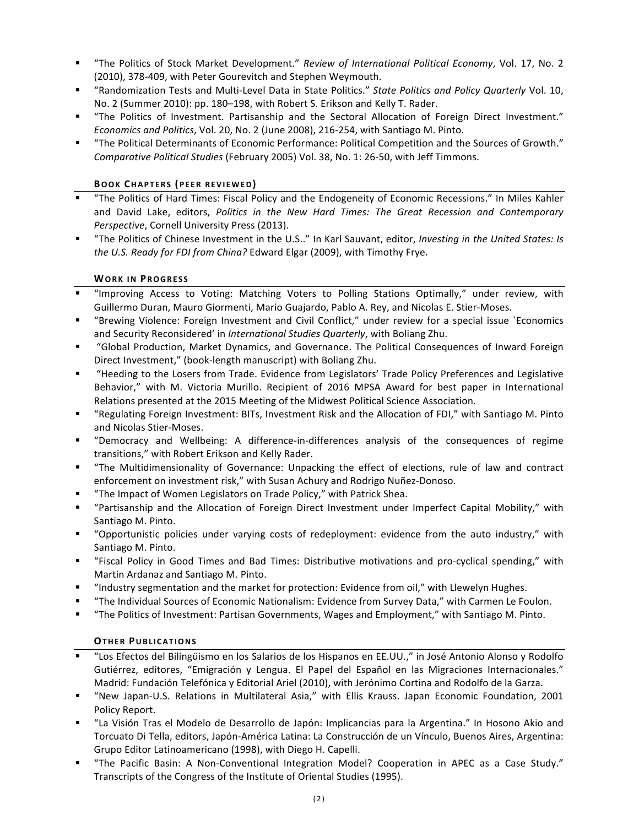- "The Politics of Stock Market Development." Review of International Political Economy, Vol. 17, No. 2 (2010), 378-409, with Peter Gourevitch and Stephen Weymouth.
- "Randomization Tests and Multi-Level Data in State Politics." *State Politics and Policy Quarterly* Vol. 10, No. 2 (Summer 2010): pp. 180–198, with Robert S. Erikson and Kelly T. Rader.
- "The Politics of Investment. Partisanship and the Sectoral Allocation of Foreign Direct Investment." *Economics and Politics*, Vol. 20, No. 2 (June 2008), 216-254, with Santiago M. Pinto.
- § "The Political Determinants of Economic Performance: Political Competition and the Sources of Growth." Comparative Political Studies (February 2005) Vol. 38, No. 1: 26-50, with Jeff Timmons.

# **BOOK CHAPTERS (PEER REVIEWED)**

- "The Politics of Hard Times: Fiscal Policy and the Endogeneity of Economic Recessions." In Miles Kahler and David Lake, editors, Politics in the New Hard Times: The Great Recession and Contemporary *Perspective, Cornell University Press (2013).*
- "The Politics of Chinese Investment in the U.S.." In Karl Sauvant, editor, *Investing in the United States: Is the U.S. Ready for FDI from China?* Edward Elgar (2009), with Timothy Frye.

# **WORK IN PROGRESS**

- § "Improving Access to Voting: Matching Voters to Polling Stations Optimally," under review, with Guillermo Duran, Mauro Giormenti, Mario Guajardo, Pablo A. Rey, and Nicolas E. Stier-Moses.
- § "Brewing Violence: Foreign Investment and Civil Conflict," under review for a special issue `Economics and Security Reconsidered' in *International Studies Quarterly*, with Boliang Zhu.
- § "Global Production, Market Dynamics, and Governance. The Political Consequences of Inward Foreign Direct Investment," (book-length manuscript) with Boliang Zhu.
- § "Heeding to the Losers from Trade. Evidence from Legislators' Trade Policy Preferences and Legislative Behavior," with M. Victoria Murillo. Recipient of 2016 MPSA Award for best paper in International Relations presented at the 2015 Meeting of the Midwest Political Science Association.
- "Regulating Foreign Investment: BITs, Investment Risk and the Allocation of FDI," with Santiago M. Pinto and Nicolas Stier-Moses.
- § "Democracy and Wellbeing: A difference-in-differences analysis of the consequences of regime transitions," with Robert Erikson and Kelly Rader.
- § "The Multidimensionality of Governance: Unpacking the effect of elections, rule of law and contract enforcement on investment risk," with Susan Achury and Rodrigo Nuñez-Donoso.
- "The Impact of Women Legislators on Trade Policy," with Patrick Shea.
- § "Partisanship and the Allocation of Foreign Direct Investment under Imperfect Capital Mobility," with Santiago M. Pinto.
- "Opportunistic policies under varying costs of redeployment: evidence from the auto industry," with Santiago M. Pinto.
- § "Fiscal Policy in Good Times and Bad Times: Distributive motivations and pro-cyclical spending," with Martin Ardanaz and Santiago M. Pinto.
- "Industry segmentation and the market for protection: Evidence from oil," with Llewelyn Hughes.
- "The Individual Sources of Economic Nationalism: Evidence from Survey Data," with Carmen Le Foulon.
- "The Politics of Investment: Partisan Governments, Wages and Employment," with Santiago M. Pinto.

# **OTHER PUBLICATIONS**

- § "Los Efectos del Bilingüismo en los Salarios de los Hispanos en EE.UU.," in José Antonio Alonso y Rodolfo Gutiérrez, editores, "Emigración y Lengua. El Papel del Español en las Migraciones Internacionales." Madrid: Fundación Telefónica y Editorial Ariel (2010), with Jerónimo Cortina and Rodolfo de la Garza.
- "New Japan-U.S. Relations in Multilateral Asia," with Ellis Krauss. Japan Economic Foundation, 2001 Policy Report.
- § "La Visión Tras el Modelo de Desarrollo de Japón: Implicancias para la Argentina." In Hosono Akio and Torcuato Di Tella, editors, Japón-América Latina: La Construcción de un Vínculo, Buenos Aires, Argentina: Grupo Editor Latinoamericano (1998), with Diego H. Capelli.
- "The Pacific Basin: A Non-Conventional Integration Model? Cooperation in APEC as a Case Study." Transcripts of the Congress of the Institute of Oriental Studies (1995).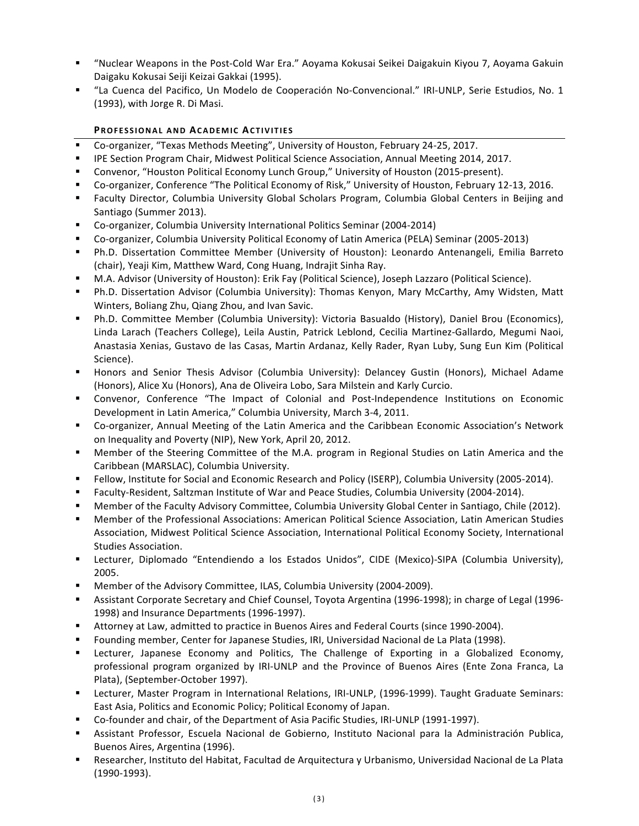- § "Nuclear Weapons in the Post-Cold War Era." Aoyama Kokusai Seikei Daigakuin Kiyou 7, Aoyama Gakuin Daigaku Kokusai Seiji Keizai Gakkai (1995).
- "La Cuenca del Pacifico, Un Modelo de Cooperación No-Convencional." IRI-UNLP, Serie Estudios, No. 1 (1993), with Jorge R. Di Masi.

# **PROFESSIONAL AND ACADEMIC ACTIVITIES**

- Co-organizer, "Texas Methods Meeting", University of Houston, February 24-25, 2017.
- **IPE Section Program Chair, Midwest Political Science Association, Annual Meeting 2014, 2017.**
- Convenor, "Houston Political Economy Lunch Group," University of Houston (2015-present).
- Co-organizer, Conference "The Political Economy of Risk," University of Houston, February 12-13, 2016.
- Faculty Director, Columbia University Global Scholars Program, Columbia Global Centers in Beijing and Santiago (Summer 2013).
- Co-organizer, Columbia University International Politics Seminar (2004-2014)
- Co-organizer, Columbia University Political Economy of Latin America (PELA) Seminar (2005-2013)
- Ph.D. Dissertation Committee Member (University of Houston): Leonardo Antenangeli, Emilia Barreto (chair), Yeaji Kim, Matthew Ward, Cong Huang, Indrajit Sinha Ray.
- M.A. Advisor (University of Houston): Erik Fay (Political Science), Joseph Lazzaro (Political Science).
- Ph.D. Dissertation Advisor (Columbia University): Thomas Kenyon, Mary McCarthy, Amy Widsten, Matt Winters, Boliang Zhu, Qiang Zhou, and Ivan Savic.
- Ph.D. Committee Member (Columbia University): Victoria Basualdo (History), Daniel Brou (Economics), Linda Larach (Teachers College), Leila Austin, Patrick Leblond, Cecilia Martinez-Gallardo, Megumi Naoi, Anastasia Xenias, Gustavo de las Casas, Martin Ardanaz, Kelly Rader, Ryan Luby, Sung Eun Kim (Political Science).
- Honors and Senior Thesis Advisor (Columbia University): Delancey Gustin (Honors), Michael Adame (Honors), Alice Xu (Honors), Ana de Oliveira Lobo, Sara Milstein and Karly Curcio.
- Convenor, Conference "The Impact of Colonial and Post-Independence Institutions on Economic Development in Latin America," Columbia University, March 3-4, 2011.
- Co-organizer, Annual Meeting of the Latin America and the Caribbean Economic Association's Network on Inequality and Poverty (NIP), New York, April 20, 2012.
- Member of the Steering Committee of the M.A. program in Regional Studies on Latin America and the Caribbean (MARSLAC), Columbia University.
- Fellow, Institute for Social and Economic Research and Policy (ISERP), Columbia University (2005-2014).
- Faculty-Resident, Saltzman Institute of War and Peace Studies, Columbia University (2004-2014).
- **Member of the Faculty Advisory Committee, Columbia University Global Center in Santiago, Chile (2012).**
- Member of the Professional Associations: American Political Science Association, Latin American Studies Association, Midwest Political Science Association, International Political Economy Society, International Studies Association.
- **Example 1 Lecturer, Diplomado** "Entendiendo a los Estados Unidos", CIDE (Mexico)-SIPA (Columbia University), 2005.
- Member of the Advisory Committee, ILAS, Columbia University (2004-2009).
- Assistant Corporate Secretary and Chief Counsel, Toyota Argentina (1996-1998); in charge of Legal (1996-1998) and Insurance Departments (1996-1997).
- Attorney at Law, admitted to practice in Buenos Aires and Federal Courts (since 1990-2004).
- Founding member, Center for Japanese Studies, IRI, Universidad Nacional de La Plata (1998).
- Lecturer, Japanese Economy and Politics, The Challenge of Exporting in a Globalized Economy, professional program organized by IRI-UNLP and the Province of Buenos Aires (Ente Zona Franca, La Plata), (September-October 1997).
- Lecturer, Master Program in International Relations, IRI-UNLP, (1996-1999). Taught Graduate Seminars: East Asia, Politics and Economic Policy; Political Economy of Japan.
- Co-founder and chair, of the Department of Asia Pacific Studies, IRI-UNLP (1991-1997).
- Assistant Professor, Escuela Nacional de Gobierno, Instituto Nacional para la Administración Publica, Buenos Aires, Argentina (1996).
- Researcher, Instituto del Habitat, Facultad de Arquitectura y Urbanismo, Universidad Nacional de La Plata (1990-1993).